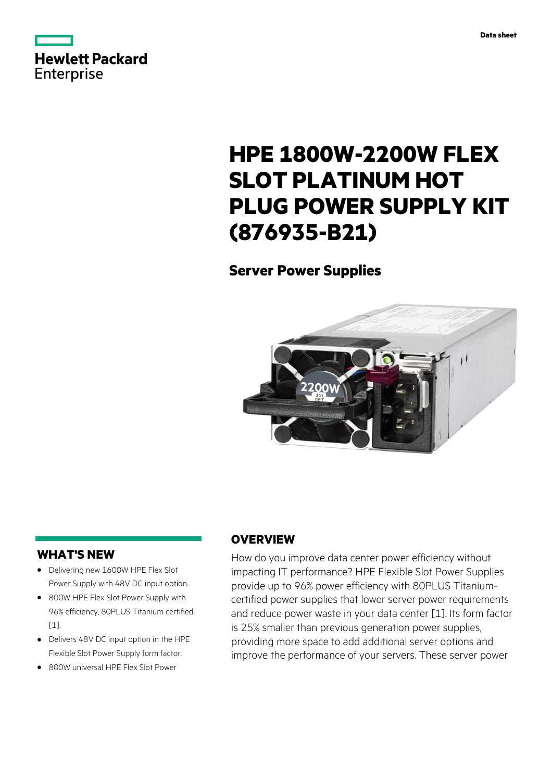



# **HPE 1800W-2200W FLEX SLOT PLATINUM HOT PLUG POWER SUPPLY KIT (876935-B21)**

# **Server Power Supplies**



### **WHAT'S NEW**

- **·** Delivering new 1600W HPE Flex Slot Power Supply with 48V DC input option.
- **·** 800W HPE Flex Slot Power Supply with 96% efficiency, 80PLUS Titanium certified [1].
- **·** Delivers 48V DC input option in the HPE Flexible Slot Power Supply form factor.
- **·** 800W universal HPE Flex Slot Power

## **OVERVIEW**

How do you improve data center power efficiency without impacting IT performance? HPE Flexible Slot Power Supplies provide up to 96% power efficiency with 80PLUS Titaniumcertified power supplies that lower server power requirements and reduce power waste in your data center [1]. Its form factor is 25% smaller than previous generation power supplies, providing more space to add additional server options and improve the performance of your servers. These server power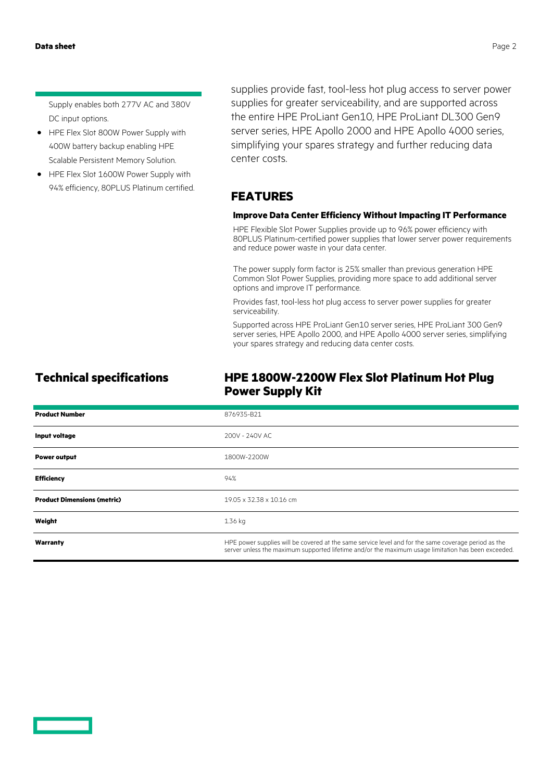Supply enables both 277V AC and 380V DC input options.

- **·** HPE Flex Slot 800W Power Supply with 400W battery backup enabling HPE Scalable Persistent Memory Solution.
- **·** HPE Flex Slot 1600W Power Supply with 94% efficiency, 80PLUS Platinum certified.

supplies provide fast, tool-less hot plug access to server power supplies for greater serviceability, and are supported across the entire HPE ProLiant Gen10, HPE ProLiant DL300 Gen9 server series, HPE Apollo 2000 and HPE Apollo 4000 series, simplifying your spares strategy and further reducing data center costs.

### **FEATURES**

### **Improve Data Center Efficiency Without Impacting IT Performance**

HPE Flexible Slot Power Supplies provide up to 96% power efficiency with 80PLUS Platinum-certified power supplies that lower server power requirements and reduce power waste in your data center.

The power supply form factor is 25% smaller than previous generation HPE Common Slot Power Supplies, providing more space to add additional server options and improve IT performance.

Provides fast, tool-less hot plug access to server power supplies for greater serviceability.

Supported across HPE ProLiant Gen10 server series, HPE ProLiant 300 Gen9 server series, HPE Apollo 2000, and HPE Apollo 4000 server series, simplifying your spares strategy and reducing data center costs.

### **Technical specifications HPE 1800W-2200W Flex Slot Platinum Hot Plug Power Supply Kit**

| <b>Product Number</b>              | 876935-B21                                                                                                                                                                                                  |
|------------------------------------|-------------------------------------------------------------------------------------------------------------------------------------------------------------------------------------------------------------|
| Input voltage                      | 200V - 240V AC                                                                                                                                                                                              |
| <b>Power output</b>                | 1800W-2200W                                                                                                                                                                                                 |
| <b>Efficiency</b>                  | 94%                                                                                                                                                                                                         |
| <b>Product Dimensions (metric)</b> | 19.05 x 32.38 x 10.16 cm                                                                                                                                                                                    |
| Weight                             | 1.36 kg                                                                                                                                                                                                     |
| Warranty                           | HPE power supplies will be covered at the same service level and for the same coverage period as the<br>server unless the maximum supported lifetime and/or the maximum usage limitation has been exceeded. |